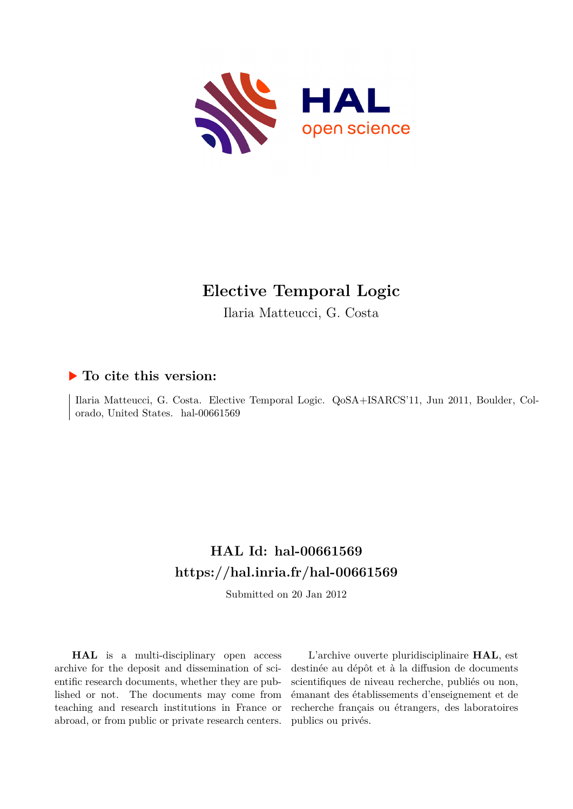

# **Elective Temporal Logic**

Ilaria Matteucci, G. Costa

## **To cite this version:**

Ilaria Matteucci, G. Costa. Elective Temporal Logic. QoSA+ISARCS'11, Jun 2011, Boulder, Colorado, United States. hal-00661569

## **HAL Id: hal-00661569 <https://hal.inria.fr/hal-00661569>**

Submitted on 20 Jan 2012

**HAL** is a multi-disciplinary open access archive for the deposit and dissemination of scientific research documents, whether they are published or not. The documents may come from teaching and research institutions in France or abroad, or from public or private research centers.

L'archive ouverte pluridisciplinaire **HAL**, est destinée au dépôt et à la diffusion de documents scientifiques de niveau recherche, publiés ou non, émanant des établissements d'enseignement et de recherche français ou étrangers, des laboratoires publics ou privés.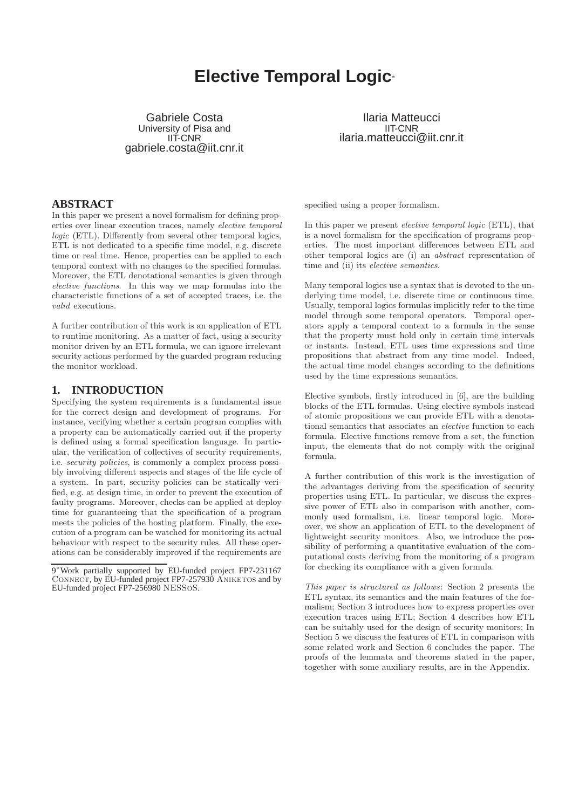## **Elective Temporal Logic**<sup>∗</sup>

Gabriele Costa University of Pisa and IIT-CNR gabriele.costa@iit.cnr.it

Ilaria Matteucci IIT-CNR ilaria.matteucci@iit.cnr.it

## **ABSTRACT**

In this paper we present a novel formalism for defining properties over linear execution traces, namely elective temporal logic (ETL). Differently from several other temporal logics, ETL is not dedicated to a specific time model, e.g. discrete time or real time. Hence, properties can be applied to each temporal context with no changes to the specified formulas. Moreover, the ETL denotational semantics is given through elective functions. In this way we map formulas into the characteristic functions of a set of accepted traces, i.e. the valid executions.

A further contribution of this work is an application of ETL to runtime monitoring. As a matter of fact, using a security monitor driven by an ETL formula, we can ignore irrelevant security actions performed by the guarded program reducing the monitor workload.

## **1. INTRODUCTION**

Specifying the system requirements is a fundamental issue for the correct design and development of programs. For instance, verifying whether a certain program complies with a property can be automatically carried out if the property is defined using a formal specification language. In particular, the verification of collectives of security requirements, i.e. security policies, is commonly a complex process possibly involving different aspects and stages of the life cycle of a system. In part, security policies can be statically verified, e.g. at design time, in order to prevent the execution of faulty programs. Moreover, checks can be applied at deploy time for guaranteeing that the specification of a program meets the policies of the hosting platform. Finally, the execution of a program can be watched for monitoring its actual behaviour with respect to the security rules. All these operations can be considerably improved if the requirements are specified using a proper formalism.

In this paper we present elective temporal logic (ETL), that is a novel formalism for the specification of programs properties. The most important differences between ETL and other temporal logics are (i) an abstract representation of time and (ii) its *elective semantics*.

Many temporal logics use a syntax that is devoted to the underlying time model, i.e. discrete time or continuous time. Usually, temporal logics formulas implicitly refer to the time model through some temporal operators. Temporal operators apply a temporal context to a formula in the sense that the property must hold only in certain time intervals or instants. Instead, ETL uses time expressions and time propositions that abstract from any time model. Indeed, the actual time model changes according to the definitions used by the time expressions semantics.

Elective symbols, firstly introduced in [6], are the building blocks of the ETL formulas. Using elective symbols instead of atomic propositions we can provide ETL with a denotational semantics that associates an *elective* function to each formula. Elective functions remove from a set, the function input, the elements that do not comply with the original formula.

A further contribution of this work is the investigation of the advantages deriving from the specification of security properties using ETL. In particular, we discuss the expressive power of ETL also in comparison with another, commonly used formalism, i.e. linear temporal logic. Moreover, we show an application of ETL to the development of lightweight security monitors. Also, we introduce the possibility of performing a quantitative evaluation of the computational costs deriving from the monitoring of a program for checking its compliance with a given formula.

This paper is structured as follows: Section 2 presents the ETL syntax, its semantics and the main features of the formalism; Section 3 introduces how to express properties over execution traces using ETL; Section 4 describes how ETL can be suitably used for the design of security monitors; In Section 5 we discuss the features of ETL in comparison with some related work and Section 6 concludes the paper. The proofs of the lemmata and theorems stated in the paper, together with some auxiliary results, are in the Appendix.

<sup>9</sup> <sup>∗</sup>Work partially supported by EU-funded project FP7-231167 CONNECT, by EU-funded project FP7-257930 ANIKETOS and by EU-funded project FP7-256980 NESSoS.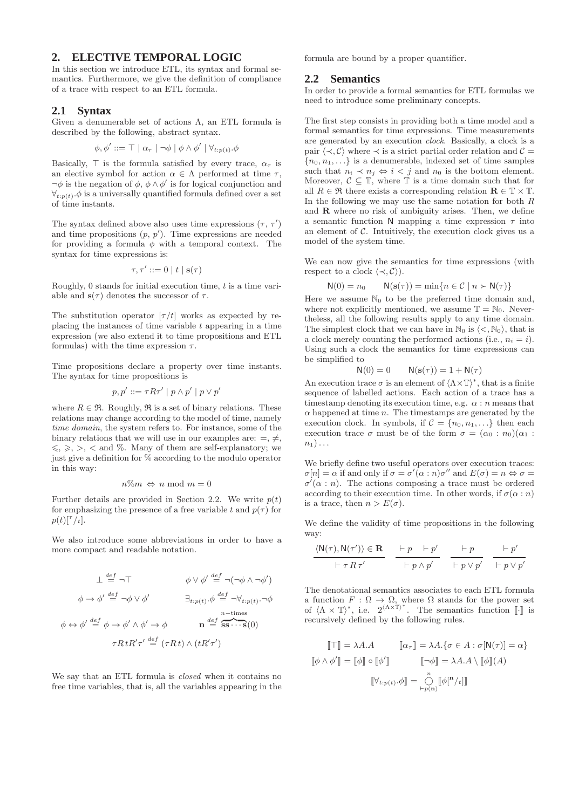## **2. ELECTIVE TEMPORAL LOGIC**

In this section we introduce ETL, its syntax and formal semantics. Furthermore, we give the definition of compliance of a trace with respect to an ETL formula.

## **2.1 Syntax**

Given a denumerable set of actions Λ, an ETL formula is described by the following, abstract syntax.

$$
\phi, \phi' ::= \top | \alpha_{\tau} | \neg \phi | \phi \land \phi' | \forall_{t:p(t)}.\phi
$$

Basically,  $\top$  is the formula satisfied by every trace,  $\alpha_{\tau}$  is an elective symbol for action  $\alpha \in \Lambda$  performed at time  $\tau$ ,  $\neg \phi$  is the negation of  $\phi$ ,  $\phi \wedge \phi'$  is for logical conjunction and  $\forall_{t:p(t)}.\phi$  is a universally quantified formula defined over a set of time instants.

The syntax defined above also uses time expressions  $(\tau, \tau')$ and time propositions  $(p, p')$ . Time expressions are needed for providing a formula  $\phi$  with a temporal context. The syntax for time expressions is:

$$
\tau, \tau' ::= 0 \mid t \mid \mathbf{s}(\tau)
$$

Roughly,  $0$  stands for initial execution time,  $t$  is a time variable and  $s(\tau)$  denotes the successor of  $\tau$ .

The substitution operator  $[\tau/t]$  works as expected by replacing the instances of time variable  $t$  appearing in a time expression (we also extend it to time propositions and ETL formulas) with the time expression  $\tau$ .

Time propositions declare a property over time instants. The syntax for time propositions is

$$
p, p' ::= \tau R \tau' | p \wedge p' | p \vee p'
$$

where  $R \in \mathfrak{R}$ . Roughly,  $\mathfrak{R}$  is a set of binary relations. These relations may change according to the model of time, namely time domain, the system refers to. For instance, some of the binary relations that we will use in our examples are:  $=$ ,  $\neq$ ,  $\leqslant, \geqslant, \geqslant, \leqslant$  and  $\%$ . Many of them are self-explanatory; we just give a definition for % according to the modulo operator in this way:

$$
n\%m \Leftrightarrow n \bmod m = 0
$$

Further details are provided in Section 2.2. We write  $p(t)$ for emphasizing the presence of a free variable t and  $p(\tau)$  for  $p(t)$ [ $^{7}/_{t}$ ].

We also introduce some abbreviations in order to have a more compact and readable notation.

$$
\perp \stackrel{def}{=} \neg \top \qquad \qquad \phi \lor \phi' \stackrel{def}{=} \neg(\neg \phi \land \neg \phi')
$$
\n
$$
\phi \to \phi' \stackrel{def}{=} \neg \phi \lor \phi' \qquad \qquad \exists_{t:p(t)}.\phi \stackrel{def}{=} \neg \forall_{t:p(t)}.\neg \phi
$$
\n
$$
\phi \leftrightarrow \phi' \stackrel{def}{=} \phi \to \phi' \land \phi' \to \phi \qquad \qquad n \stackrel{e}{=} \mathbf{S} \cdots \mathbf{S}(0)
$$
\n
$$
\tau R t R' \tau' \stackrel{def}{=} (\tau R t) \land (t R' \tau')
$$

We say that an ETL formula is closed when it contains no free time variables, that is, all the variables appearing in the formula are bound by a proper quantifier.

#### **2.2 Semantics**

In order to provide a formal semantics for ETL formulas we need to introduce some preliminary concepts.

The first step consists in providing both a time model and a formal semantics for time expressions. Time measurements are generated by an execution clock. Basically, a clock is a pair  $\langle \prec, \mathcal{C} \rangle$  where  $\prec$  is a strict partial order relation and  $\mathcal{C} =$  ${n_0, n_1, \ldots}$  is a denumerable, indexed set of time samples such that  $n_i \prec n_j \Leftrightarrow i \leq j$  and  $n_0$  is the bottom element. Moreover,  $C \subseteq \mathbb{T}$ , where  $\mathbb{T}$  is a time domain such that for all  $R \in \mathfrak{R}$  there exists a corresponding relation  $\mathbf{R} \in \mathbb{T} \times \mathbb{T}$ . In the following we may use the same notation for both  $R$ and  $\bf{R}$  where no risk of ambiguity arises. Then, we define a semantic function N mapping a time expression  $\tau$  into an element of  $C$ . Intuitively, the execution clock gives us a model of the system time.

We can now give the semantics for time expressions (with respect to a clock  $\langle \prec, \mathcal{C} \rangle$ ).

$$
N(0) = n_0 \qquad N(s(\tau)) = \min\{n \in C \mid n \succ N(\tau)\}\
$$

Here we assume  $\mathbb{N}_0$  to be the preferred time domain and, where not explicitly mentioned, we assume  $\mathbb{T} = \mathbb{N}_0$ . Nevertheless, all the following results apply to any time domain. The simplest clock that we can have in  $\mathbb{N}_0$  is  $\langle \langle, \mathbb{N}_0 \rangle$ , that is a clock merely counting the performed actions (i.e.,  $n_i = i$ ). Using such a clock the semantics for time expressions can be simplified to

$$
N(0) = 0 \qquad N(s(\tau)) = 1 + N(\tau)
$$

An execution trace  $\sigma$  is an element of  $(\Lambda \times \mathbb{T})^*$ , that is a finite sequence of labelled actions. Each action of a trace has a timestamp denoting its execution time, e.g.  $\alpha$ : n means that  $\alpha$  happened at time *n*. The timestamps are generated by the execution clock. In symbols, if  $\mathcal{C} = \{n_0, n_1, \ldots\}$  then each execution trace  $\sigma$  must be of the form  $\sigma = (\alpha_0 : n_0)(\alpha_1 :$  $n_1) \ldots$ 

We briefly define two useful operators over execution traces:  $\sigma[n] = \alpha$  if and only if  $\sigma = \sigma'(\alpha : n)\sigma''$  and  $E(\sigma) = n \Leftrightarrow \sigma =$  $\sigma'(\alpha:n)$ . The actions composing a trace must be ordered according to their execution time. In other words, if  $\sigma(\alpha : n)$ is a trace, then  $n > E(\sigma)$ .

We define the validity of time propositions in the following way:

$$
\frac{\langle N(\tau), N(\tau') \rangle \in \mathbf{R}}{\mid \tau R \tau'} \quad \frac{\mid p \mid p' \mid}{\mid p \land p'} \quad \frac{\mid p}{\mid p \lor p'} \quad \frac{\mid p'}{\mid p \lor p'}
$$

The denotational semantics associates to each ETL formula a function  $F : \Omega \to \Omega$ , where  $\Omega$  stands for the power set of  $\langle \Lambda \times \mathbb{T} \rangle^*$ , i.e.  $2^{\langle \Lambda \times \mathbb{T} \rangle^*}$ . The semantics function  $\llbracket \cdot \rrbracket$  is recursively defined by the following rules.

$$
\llbracket \top \rrbracket = \lambda A \cdot A \qquad \llbracket \alpha_{\tau} \rrbracket = \lambda A \cdot \{ \sigma \in A : \sigma[\mathsf{N}(\tau)] = \alpha \}
$$

$$
\llbracket \phi \wedge \phi' \rrbracket = \llbracket \phi \rrbracket \circ \llbracket \phi' \rrbracket \qquad \llbracket \neg \phi \rrbracket = \lambda A \cdot A \setminus \llbracket \phi \rrbracket(A)
$$

$$
\llbracket \forall_{t:p(t)} . \phi \rrbracket = \bigcirc_{\vdash p(\mathbf{n})}^n \llbracket \phi[\mathsf{m}/t] \rrbracket
$$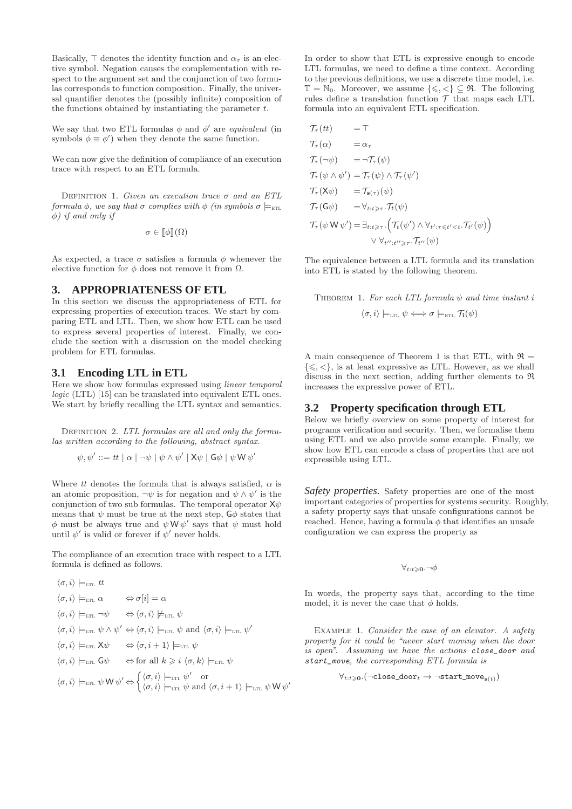Basically,  $\top$  denotes the identity function and  $\alpha_{\tau}$  is an elective symbol. Negation causes the complementation with respect to the argument set and the conjunction of two formulas corresponds to function composition. Finally, the universal quantifier denotes the (possibly infinite) composition of the functions obtained by instantiating the parameter  $t$ .

We say that two ETL formulas  $\phi$  and  $\phi'$  are equivalent (in symbols  $\phi \equiv \phi'$ ) when they denote the same function.

We can now give the definition of compliance of an execution trace with respect to an ETL formula.

DEFINITION 1. Given an execution trace  $\sigma$  and an ETL formula  $\phi$ , we say that  $\sigma$  complies with  $\phi$  (in symbols  $\sigma \models_{\text{EFL}}$  $\phi$ ) if and only if

 $\sigma \in [\![\phi]\!](\Omega)$ 

As expected, a trace  $\sigma$  satisfies a formula  $\phi$  whenever the elective function for  $\phi$  does not remove it from  $\Omega$ .

## **3. APPROPRIATENESS OF ETL**

In this section we discuss the appropriateness of ETL for expressing properties of execution traces. We start by comparing ETL and LTL. Then, we show how ETL can be used to express several properties of interest. Finally, we conclude the section with a discussion on the model checking problem for ETL formulas.

## **3.1 Encoding LTL in ETL**

Here we show how formulas expressed using linear temporal logic (LTL) [15] can be translated into equivalent ETL ones. We start by briefly recalling the LTL syntax and semantics.

DEFINITION 2. LTL formulas are all and only the formulas written according to the following, abstract syntax.

$$
\psi, \psi' ::= tt \mid \alpha \mid \neg \psi \mid \psi \land \psi' \mid \mathsf{X}\psi \mid \mathsf{G}\psi \mid \psi \mathsf{W}\psi'
$$

Where tt denotes the formula that is always satisfied,  $\alpha$  is an atomic proposition,  $\neg \psi$  is for negation and  $\psi \wedge \psi'$  is the conjunction of two sub formulas. The temporal operator  $X\psi$ means that  $\psi$  must be true at the next step,  $\mathsf{G}\phi$  states that  $\phi$  must be always true and  $\psi \mathsf{W} \psi'$  says that  $\psi$  must hold until  $\psi'$  is valid or forever if  $\psi'$  never holds.

The compliance of an execution trace with respect to a LTL formula is defined as follows.

$$
\langle \sigma, i \rangle \models_{\text{LTL}} tt
$$
  
\n
$$
\langle \sigma, i \rangle \models_{\text{LTL}} \alpha \iff \phi[i] = \alpha
$$
  
\n
$$
\langle \sigma, i \rangle \models_{\text{LTL}} \neg \psi \iff \langle \sigma, i \rangle \not\models_{\text{LTL}} \psi
$$
  
\n
$$
\langle \sigma, i \rangle \models_{\text{LTL}} \psi \land \psi' \iff \langle \sigma, i \rangle \models_{\text{LTL}} \psi \text{ and } \langle \sigma, i \rangle \models_{\text{LTL}} \psi'
$$
  
\n
$$
\langle \sigma, i \rangle \models_{\text{LTL}} \mathsf{X} \psi \iff \langle \sigma, i + 1 \rangle \models_{\text{LTL}} \psi
$$
  
\n
$$
\langle \sigma, i \rangle \models_{\text{LTL}} \mathsf{G} \psi \iff \phi \text{ for all } k \geqslant i \langle \sigma, k \rangle \models_{\text{LTL}} \psi
$$
  
\n
$$
\langle \sigma, i \rangle \models_{\text{LTL}} \psi \mathsf{W} \psi' \iff \begin{cases} \langle \sigma, i \rangle \models_{\text{LTL}} \psi' & \text{or} \\ \langle \sigma, i \rangle \models_{\text{LTL}} \psi \text{ and } \langle \sigma, i + 1 \rangle \models_{\text{LTL}} \psi \mathsf{W} \psi \end{cases}
$$

′

In order to show that ETL is expressive enough to encode LTL formulas, we need to define a time context. According to the previous definitions, we use a discrete time model, i.e.  $\mathbb{T} = \mathbb{N}_0$ . Moreover, we assume  $\{\leq,\leq\} \subseteq \mathfrak{R}$ . The following rules define a translation function  $\mathcal T$  that maps each LTL formula into an equivalent ETL specification.

$$
T_{\tau}(tt) = T
$$
  
\n
$$
T_{\tau}(\alpha) = \alpha_{\tau}
$$
  
\n
$$
T_{\tau}(\neg \psi) = \neg T_{\tau}(\psi)
$$
  
\n
$$
T_{\tau}(\psi \land \psi') = T_{\tau}(\psi) \land T_{\tau}(\psi')
$$
  
\n
$$
T_{\tau}(X\psi) = T_{s(\tau)}(\psi)
$$
  
\n
$$
T_{\tau}(G\psi) = \forall_{t:t \geq \tau}.T_{t}(\psi)
$$
  
\n
$$
T_{\tau}(\psi W \psi') = \exists_{t:t \geq \tau}.(T_{t}(\psi') \land \forall_{t':\tau \leq t' < t}.T_{t'}(\psi))
$$
  
\n
$$
\forall \forall_{t'',t'' \geq \tau}.T_{t''}(\psi)
$$

The equivalence between a LTL formula and its translation into ETL is stated by the following theorem.

THEOREM 1. For each LTL formula  $\psi$  and time instant i

$$
\langle \sigma, i \rangle \models_{\text{LTL}} \psi \iff \sigma \models_{\text{ETL}} \mathcal{T}_i(\psi)
$$

A main consequence of Theorem 1 is that ETL, with  $\mathfrak{R} =$  $\{\leq,\leq\}$ , is at least expressive as LTL. However, as we shall discuss in the next section, adding further elements to R increases the expressive power of ETL.

#### **3.2 Property specification through ETL**

Below we briefly overview on some property of interest for programs verification and security. Then, we formalise them using ETL and we also provide some example. Finally, we show how ETL can encode a class of properties that are not expressible using LTL.

*Safety properties.* Safety properties are one of the most important categories of properties for systems security. Roughly, a safety property says that unsafe configurations cannot be reached. Hence, having a formula  $\phi$  that identifies an unsafe configuration we can express the property as

#### $\forall_{t:t\geqslant0}.\neg\phi$

In words, the property says that, according to the time model, it is never the case that  $\phi$  holds.

EXAMPLE 1. Consider the case of an elevator. A safety property for it could be "never start moving when the door is open". Assuming we have the actions close\_door and start\_move, the corresponding ETL formula is

$$
\forall_{t:t\geqslant\mathbf{0}}.\bigl(\neg \texttt{close\_door}_t \rightarrow \neg \texttt{start\_move}_{\mathbf{s}(t)}\bigr)
$$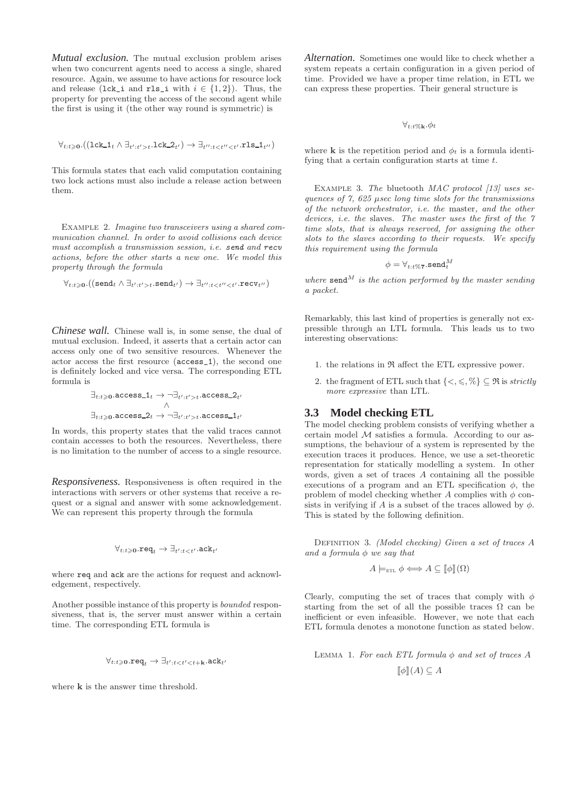*Mutual exclusion.* The mutual exclusion problem arises when two concurrent agents need to access a single, shared resource. Again, we assume to have actions for resource lock and release (1ck\_i and r1s\_i with  $i \in \{1,2\}$ ). Thus, the property for preventing the access of the second agent while the first is using it (the other way round is symmetric) is

$$
\forall_{t:t\geqslant 0}. \big((1\mathtt{c}\mathtt{k}\_1_t \land \exists_{t':t'>t}.\mathtt{l}\mathtt{c}\mathtt{k}\_2_{t'}) \rightarrow \exists_{t'':t
$$

This formula states that each valid computation containing two lock actions must also include a release action between them.

EXAMPLE 2. Imagine two transceivers using a shared communication channel. In order to avoid collisions each device must accomplish a transmission session, i.e. send and recv actions, before the other starts a new one. We model this property through the formula

$$
\forall_{t:t\geqslant \mathbf{0}}.((\mathtt{send}_t \wedge \exists_{t':t'>t}.\mathtt{send}_{t'}) \rightarrow \exists_{t'':t
$$

*Chinese wall.* Chinese wall is, in some sense, the dual of mutual exclusion. Indeed, it asserts that a certain actor can access only one of two sensitive resources. Whenever the actor access the first resource (access\_1), the second one is definitely locked and vice versa. The corresponding ETL formula is

$$
\begin{aligned} &\exists_{t:t\geqslant 0}.\texttt{access\_1}_t \rightarrow \neg \exists_{t':t'>t}.\texttt{access\_2}_{t'} \\ &\wedge \\ &\exists_{t:t\geqslant 0}.\texttt{access\_2}_t \rightarrow \neg \exists_{t':t'>t}.\texttt{access\_1}_{t'} \end{aligned}
$$

In words, this property states that the valid traces cannot contain accesses to both the resources. Nevertheless, there is no limitation to the number of access to a single resource.

*Responsiveness.* Responsiveness is often required in the interactions with servers or other systems that receive a request or a signal and answer with some acknowledgement. We can represent this property through the formula

$$
\forall_{t:t\geqslant\mathbf{0}}.\mathtt{req}_t \rightarrow \exists_{t':t
$$

where req and ack are the actions for request and acknowledgement, respectively.

Another possible instance of this property is bounded responsiveness, that is, the server must answer within a certain time. The corresponding ETL formula is

$$
\forall_{t:t\geqslant \textbf{0}}.\texttt{req}_t \rightarrow \exists_{t':t
$$

where **k** is the answer time threshold.

*Alternation.* Sometimes one would like to check whether a system repeats a certain configuration in a given period of time. Provided we have a proper time relation, in ETL we can express these properties. Their general structure is

## $\forall_{t\cdot t}\mathscr{A}_{\mathbf{k}}.\phi_t$

where **k** is the repetition period and  $\phi_t$  is a formula identifying that a certain configuration starts at time  $t$ .

EXAMPLE 3. The bluetooth  $MAC$  protocol [13] uses sequences of 7, 625 µsec long time slots for the transmissions of the network orchestrator, i.e. the master, and the other devices, *i.e.* the slaves. The master uses the first of the 7 time slots, that is always reserved, for assigning the other slots to the slaves according to their requests. We specify this requirement using the formula

$$
\phi = \forall_{t:t\% \texttt{7}}.\texttt{send}^M_t
$$

where  $\texttt{send}^M$  is the action performed by the master sending a packet.

Remarkably, this last kind of properties is generally not expressible through an LTL formula. This leads us to two interesting observations:

- 1. the relations in R affect the ETL expressive power.
- 2. the fragment of ETL such that  $\{<,\leqslant,\% \}\subseteq \mathfrak{R}$  is strictly more expressive than LTL.

## **3.3 Model checking ETL**

The model checking problem consists of verifying whether a certain model M satisfies a formula. According to our assumptions, the behaviour of a system is represented by the execution traces it produces. Hence, we use a set-theoretic representation for statically modelling a system. In other words, given a set of traces A containing all the possible executions of a program and an ETL specification  $\phi$ , the problem of model checking whether A complies with  $\phi$  consists in verifying if A is a subset of the traces allowed by  $\phi$ . This is stated by the following definition.

DEFINITION 3. (Model checking) Given a set of traces A and a formula  $\phi$  we say that

$$
A \models_{\text{ETL}} \phi \iff A \subseteq [\![\phi]\!](\Omega)
$$

Clearly, computing the set of traces that comply with  $\phi$ starting from the set of all the possible traces  $\Omega$  can be inefficient or even infeasible. However, we note that each ETL formula denotes a monotone function as stated below.

LEMMA 1. For each ETL formula  $\phi$  and set of traces A

 $\llbracket \phi \rrbracket(A) \subseteq A$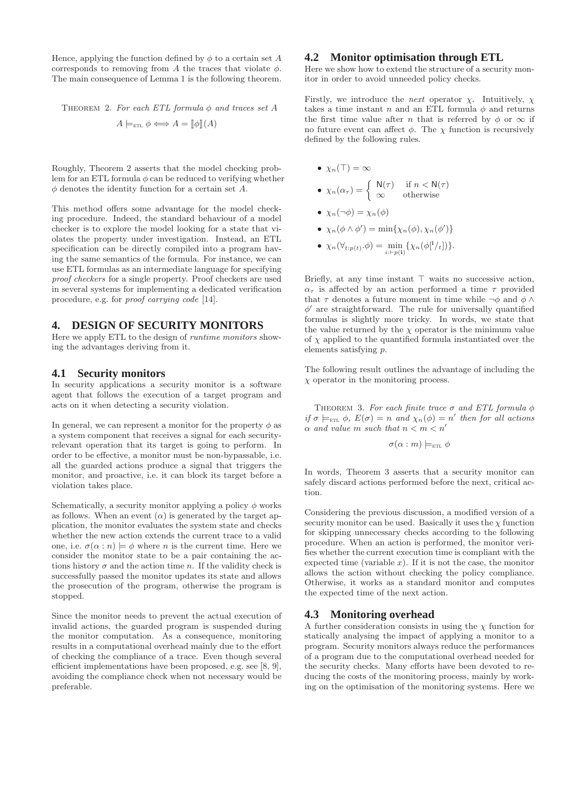Hence, applying the function defined by  $\phi$  to a certain set A corresponds to removing from A the traces that violate  $\phi$ . The main consequence of Lemma 1 is the following theorem.

THEOREM 2. For each ETL formula 
$$
\phi
$$
 and traces set A  

$$
A \models_{\text{ETL}} \phi \Longleftrightarrow A = [\![\phi]\!](A)
$$

Roughly, Theorem 2 asserts that the model checking problem for an ETL formula  $\phi$  can be reduced to verifying whether  $\phi$  denotes the identity function for a certain set A.

This method offers some advantage for the model checking procedure. Indeed, the standard behaviour of a model checker is to explore the model looking for a state that violates the property under investigation. Instead, an ETL specification can be directly compiled into a program having the same semantics of the formula. For instance, we can use ETL formulas as an intermediate language for specifying proof checkers for a single property. Proof checkers are used in several systems for implementing a dedicated verification procedure, e.g. for proof carrying code [14].

## **4. DESIGN OF SECURITY MONITORS**

Here we apply ETL to the design of runtime monitors showing the advantages deriving from it.

## **4.1 Security monitors**

In security applications a security monitor is a software agent that follows the execution of a target program and acts on it when detecting a security violation.

In general, we can represent a monitor for the property  $\phi$  as a system component that receives a signal for each securityrelevant operation that its target is going to perform. In order to be effective, a monitor must be non-bypassable, i.e. all the guarded actions produce a signal that triggers the monitor, and proactive, i.e. it can block its target before a violation takes place.

Schematically, a security monitor applying a policy  $\phi$  works as follows. When an event  $(\alpha)$  is generated by the target application, the monitor evaluates the system state and checks whether the new action extends the current trace to a valid one, i.e.  $\sigma(\alpha : n) \models \phi$  where *n* is the current time. Here we consider the monitor state to be a pair containing the actions history  $\sigma$  and the action time n. If the validity check is successfully passed the monitor updates its state and allows the prosecution of the program, otherwise the program is stopped.

Since the monitor needs to prevent the actual execution of invalid actions, the guarded program is suspended during the monitor computation. As a consequence, monitoring results in a computational overhead mainly due to the effort of checking the compliance of a trace. Even though several efficient implementations have been proposed, e.g. see [8, 9], avoiding the compliance check when not necessary would be preferable.

## **4.2 Monitor optimisation through ETL**

Here we show how to extend the structure of a security monitor in order to avoid unneeded policy checks.

Firstly, we introduce the *next* operator  $\chi$ . Intuitively,  $\chi$ takes a time instant n and an ETL formula  $\phi$  and returns the first time value after n that is referred by  $\phi$  or  $\infty$  if no future event can affect  $\phi$ . The  $\chi$  function is recursively defined by the following rules.

- $\chi_n(\top) = \infty$ •  $\chi_n(\alpha_\tau) = \begin{cases} N(\tau) & \text{if } n < N(\tau) \\ \infty & \text{otherwise} \end{cases}$ ∞ otherwise
- $\chi_n(\neg \phi) = \chi_n(\phi)$
- $\chi_n(\phi \wedge \phi') = \min\{\chi_n(\phi), \chi_n(\phi')\}$
- $\chi_n(\forall_{t:p(t)}.\phi) = \min_{i:p(\mathbf{i})} \{ \chi_n(\phi[i/_{t}]) \}.$

Briefly, at any time instant ⊤ waits no successive action,  $\alpha_{\tau}$  is affected by an action performed a time  $\tau$  provided that  $\tau$  denotes a future moment in time while  $\neg \phi$  and  $\phi \wedge$  $\phi'$  are straightforward. The rule for universally quantified formulas is slightly more tricky. In words, we state that the value returned by the  $\chi$  operator is the minimum value of  $\chi$  applied to the quantified formula instantiated over the elements satisfying p.

The following result outlines the advantage of including the  $\chi$  operator in the monitoring process.

THEOREM 3. For each finite trace  $\sigma$  and ETL formula  $\phi$ if  $\sigma \models_{\text{ETL}} \phi$ ,  $E(\sigma) = n$  and  $\chi_n(\phi) = n'$  then for all actions  $\alpha$  and value m such that  $n < m < n'$ 

$$
\sigma(\alpha:m) \models_{\texttt{ETL}} \phi
$$

In words, Theorem 3 asserts that a security monitor can safely discard actions performed before the next, critical action.

Considering the previous discussion, a modified version of a security monitor can be used. Basically it uses the  $\chi$  function for skipping unnecessary checks according to the following procedure. When an action is performed, the monitor verifies whether the current execution time is compliant with the expected time (variable  $x$ ). If it is not the case, the monitor allows the action without checking the policy compliance. Otherwise, it works as a standard monitor and computes the expected time of the next action.

## **4.3 Monitoring overhead**

A further consideration consists in using the  $\chi$  function for statically analysing the impact of applying a monitor to a program. Security monitors always reduce the performances of a program due to the computational overhead needed for the security checks. Many efforts have been devoted to reducing the costs of the monitoring process, mainly by working on the optimisation of the monitoring systems. Here we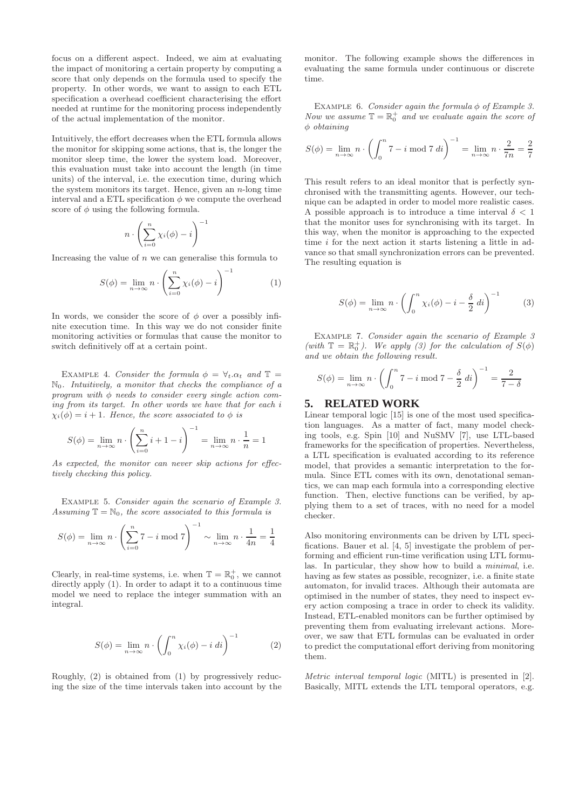focus on a different aspect. Indeed, we aim at evaluating the impact of monitoring a certain property by computing a score that only depends on the formula used to specify the property. In other words, we want to assign to each ETL specification a overhead coefficient characterising the effort needed at runtime for the monitoring process independently of the actual implementation of the monitor.

Intuitively, the effort decreases when the ETL formula allows the monitor for skipping some actions, that is, the longer the monitor sleep time, the lower the system load. Moreover, this evaluation must take into account the length (in time units) of the interval, i.e. the execution time, during which the system monitors its target. Hence, given an  $n$ -long time interval and a ETL specification  $\phi$  we compute the overhead score of  $\phi$  using the following formula.

$$
n \cdot \left(\sum_{i=0}^{n} \chi_i(\phi) - i\right)^{-1}
$$

Increasing the value of  $n$  we can generalise this formula to

$$
S(\phi) = \lim_{n \to \infty} n \cdot \left(\sum_{i=0}^{n} \chi_i(\phi) - i\right)^{-1} \tag{1}
$$

In words, we consider the score of  $\phi$  over a possibly infinite execution time. In this way we do not consider finite monitoring activities or formulas that cause the monitor to switch definitively off at a certain point.

EXAMPLE 4. Consider the formula  $\phi = \forall_t . \alpha_t$  and  $\mathbb{T} =$  $\mathbb{N}_0$ . Intuitively, a monitor that checks the compliance of a program with  $\phi$  needs to consider every single action coming from its target. In other words we have that for each i  $\chi_i(\phi) = i + 1$ . Hence, the score associated to  $\phi$  is

$$
S(\phi) = \lim_{n \to \infty} n \cdot \left(\sum_{i=0}^{n} i + 1 - i\right)^{-1} = \lim_{n \to \infty} n \cdot \frac{1}{n} = 1
$$

As expected, the monitor can never skip actions for effectively checking this policy.

Example 5. Consider again the scenario of Example 3. Assuming  $\mathbb{T} = \mathbb{N}_0$ , the score associated to this formula is

$$
S(\phi) = \lim_{n \to \infty} n \cdot \left(\sum_{i=0}^{n} 7 - i \mod 7\right)^{-1} \sim \lim_{n \to \infty} n \cdot \frac{1}{4n} = \frac{1}{4}
$$

Clearly, in real-time systems, i.e. when  $\mathbb{T} = \mathbb{R}^+_0$ , we cannot directly apply (1). In order to adapt it to a continuous time model we need to replace the integer summation with an integral.

$$
S(\phi) = \lim_{n \to \infty} n \cdot \left( \int_0^n \chi_i(\phi) - i \, di \right)^{-1} \tag{2}
$$

Roughly, (2) is obtained from (1) by progressively reducing the size of the time intervals taken into account by the

monitor. The following example shows the differences in evaluating the same formula under continuous or discrete time.

EXAMPLE 6. Consider again the formula  $\phi$  of Example 3. Now we assume  $\mathbb{T} = \mathbb{R}_0^+$  and we evaluate again the score of φ obtaining

$$
S(\phi) = \lim_{n \to \infty} n \cdot \left( \int_0^n 7 - i \mod 7 \, di \right)^{-1} = \lim_{n \to \infty} n \cdot \frac{2}{7n} = \frac{2}{7}
$$

This result refers to an ideal monitor that is perfectly synchronised with the transmitting agents. However, our technique can be adapted in order to model more realistic cases. A possible approach is to introduce a time interval  $\delta < 1$ that the monitor uses for synchronising with its target. In this way, when the monitor is approaching to the expected time  $i$  for the next action it starts listening a little in advance so that small synchronization errors can be prevented. The resulting equation is

$$
S(\phi) = \lim_{n \to \infty} n \cdot \left( \int_0^n \chi_i(\phi) - i - \frac{\delta}{2} \, di \right)^{-1} \tag{3}
$$

EXAMPLE 7. Consider again the scenario of Example 3 (with  $\mathbb{T} = \mathbb{R}_0^+$ ). We apply (3) for the calculation of  $S(\phi)$ and we obtain the following result.

$$
S(\phi) = \lim_{n \to \infty} n \cdot \left( \int_0^n 7 - i \bmod 7 - \frac{\delta}{2} \, di \right)^{-1} = \frac{2}{7 - \delta}
$$

### **5. RELATED WORK**

Linear temporal logic [15] is one of the most used specification languages. As a matter of fact, many model checking tools, e.g. Spin [10] and NuSMV [7], use LTL-based frameworks for the specification of properties. Nevertheless, a LTL specification is evaluated according to its reference model, that provides a semantic interpretation to the formula. Since ETL comes with its own, denotational semantics, we can map each formula into a corresponding elective function. Then, elective functions can be verified, by applying them to a set of traces, with no need for a model checker.

Also monitoring environments can be driven by LTL specifications. Bauer et al. [4, 5] investigate the problem of performing and efficient run-time verification using LTL formulas. In particular, they show how to build a minimal, i.e. having as few states as possible, recognizer, i.e. a finite state automaton, for invalid traces. Although their automata are optimised in the number of states, they need to inspect every action composing a trace in order to check its validity. Instead, ETL-enabled monitors can be further optimised by preventing them from evaluating irrelevant actions. Moreover, we saw that ETL formulas can be evaluated in order to predict the computational effort deriving from monitoring them.

Metric interval temporal logic (MITL) is presented in [2]. Basically, MITL extends the LTL temporal operators, e.g.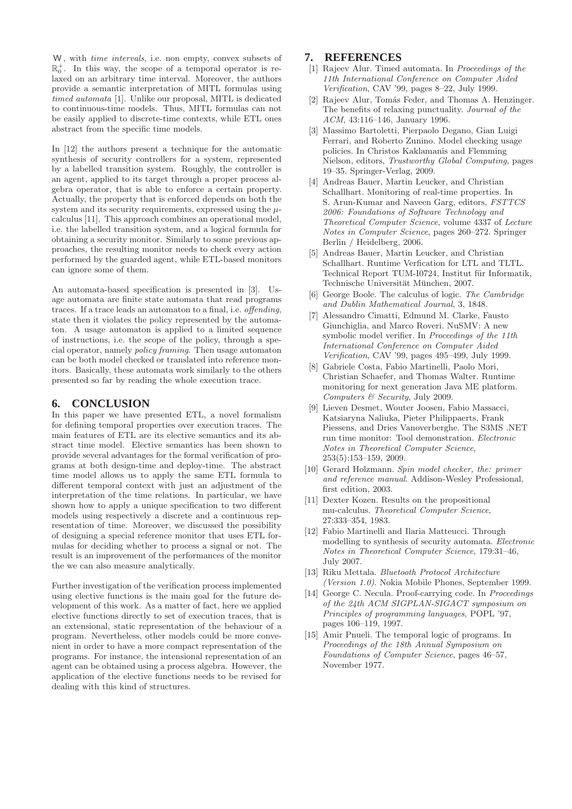W , with time intervals, i.e. non empty, convex subsets of  $\mathbb{R}^+_0$ . In this way, the scope of a temporal operator is relaxed on an arbitrary time interval. Moreover, the authors provide a semantic interpretation of MITL formulas using timed automata [1]. Unlike our proposal, MITL is dedicated to continuous-time models. Thus, MITL formulas can not be easily applied to discrete-time contexts, while ETL ones abstract from the specific time models.

In [12] the authors present a technique for the automatic synthesis of security controllers for a system, represented by a labelled transition system. Roughly, the controller is an agent, applied to its target through a proper process algebra operator, that is able to enforce a certain property. Actually, the property that is enforced depends on both the system and its security requirements, expressed using the  $\mu$ calculus [11]. This approach combines an operational model, i.e. the labelled transition system, and a logical formula for obtaining a security monitor. Similarly to some previous approaches, the resulting monitor needs to check every action performed by the guarded agent, while ETL-based monitors can ignore some of them.

An automata-based specification is presented in [3]. Usage automata are finite state automata that read programs traces. If a trace leads an automaton to a final, i.e. offending, state then it violates the policy represented by the automaton. A usage automaton is applied to a limited sequence of instructions, i.e. the scope of the policy, through a special operator, namely policy framing. Then usage automaton can be both model checked or translated into reference monitors. Basically, these automata work similarly to the others presented so far by reading the whole execution trace.

## **6. CONCLUSION**

In this paper we have presented ETL, a novel formalism for defining temporal properties over execution traces. The main features of ETL are its elective semantics and its abstract time model. Elective semantics has been shown to provide several advantages for the formal verification of programs at both design-time and deploy-time. The abstract time model allows us to apply the same ETL formula to different temporal context with just an adjustment of the interpretation of the time relations. In particular, we have shown how to apply a unique specification to two different models using respectively a discrete and a continuous representation of time. Moreover, we discussed the possibility of designing a special reference monitor that uses ETL formulas for deciding whether to process a signal or not. The result is an improvement of the performances of the monitor the we can also measure analytically.

Further investigation of the verification process implemented using elective functions is the main goal for the future development of this work. As a matter of fact, here we applied elective functions directly to set of execution traces, that is an extensional, static representation of the behaviour of a program. Nevertheless, other models could be more convenient in order to have a more compact representation of the programs. For instance, the intensional representation of an agent can be obtained using a process algebra. However, the application of the elective functions needs to be revised for dealing with this kind of structures.

## **7. REFERENCES**

- [1] Rajeev Alur. Timed automata. In Proceedings of the 11th International Conference on Computer Aided Verification, CAV '99, pages 8–22, July 1999.
- [2] Rajeev Alur, Tomás Feder, and Thomas A. Henzinger. The benefits of relaxing punctuality. Journal of the ACM, 43:116–146, January 1996.
- [3] Massimo Bartoletti, Pierpaolo Degano, Gian Luigi Ferrari, and Roberto Zunino. Model checking usage policies. In Christos Kaklamanis and Flemming Nielson, editors, Trustworthy Global Computing, pages 19–35. Springer-Verlag, 2009.
- [4] Andreas Bauer, Martin Leucker, and Christian Schallhart. Monitoring of real-time properties. In S. Arun-Kumar and Naveen Garg, editors, FSTTCS 2006: Foundations of Software Technology and Theoretical Computer Science, volume 4337 of Lecture Notes in Computer Science, pages 260–272. Springer Berlin / Heidelberg, 2006.
- [5] Andreas Bauer, Martin Leucker, and Christian Schallhart. Runtime Verfication for LTL and TLTL. Technical Report TUM-I0724, Institut für Informatik, Technische Universität München, 2007.
- [6] George Boole. The calculus of logic. The Cambridge and Dublin Mathematical Journal, 3, 1848.
- [7] Alessandro Cimatti, Edmund M. Clarke, Fausto Giunchiglia, and Marco Roveri. NuSMV: A new symbolic model verifier. In Proceedings of the 11th International Conference on Computer Aided Verification, CAV '99, pages 495–499, July 1999.
- [8] Gabriele Costa, Fabio Martinelli, Paolo Mori, Christian Schaefer, and Thomas Walter. Runtime monitoring for next generation Java ME platform. Computers & Security, July 2009.
- [9] Lieven Desmet, Wouter Joosen, Fabio Massacci, Katsiaryna Naliuka, Pieter Philippaerts, Frank Piessens, and Dries Vanoverberghe. The S3MS .NET run time monitor: Tool demonstration. Electronic Notes in Theoretical Computer Science, 253(5):153–159, 2009.
- [10] Gerard Holzmann. Spin model checker, the: primer and reference manual. Addison-Wesley Professional, first edition, 2003.
- [11] Dexter Kozen. Results on the propositional mu-calculus. Theoretical Computer Science, 27:333–354, 1983.
- [12] Fabio Martinelli and Ilaria Matteucci. Through modelling to synthesis of security automata. Electronic Notes in Theoretical Computer Science, 179:31–46, July 2007.
- [13] Riku Mettala. Bluetooth Protocol Architecture (Version 1.0). Nokia Mobile Phones, September 1999.
- [14] George C. Necula. Proof-carrying code. In Proceedings of the 24th ACM SIGPLAN-SIGACT symposium on Principles of programming languages, POPL '97, pages 106–119, 1997.
- [15] Amir Pnueli. The temporal logic of programs. In Proceedings of the 18th Annual Symposium on Foundations of Computer Science, pages 46–57, November 1977.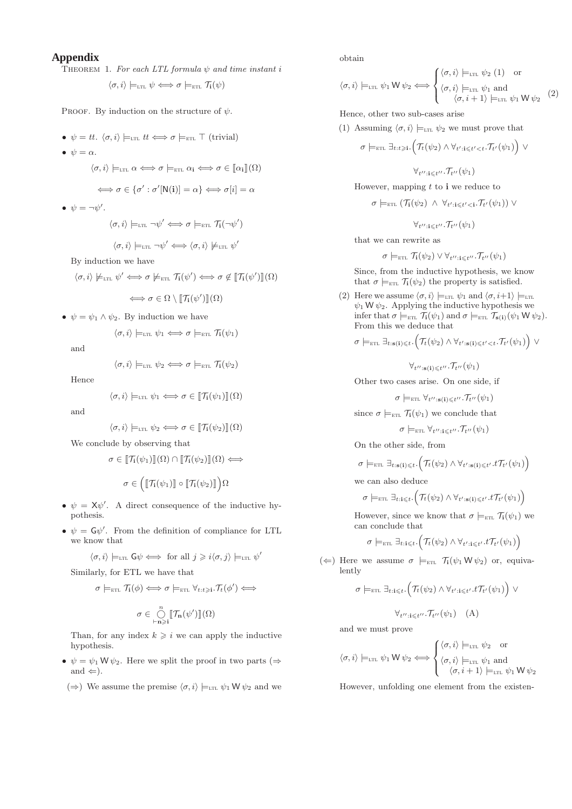## **Appendix**

THEOREM 1. For each LTL formula  $\psi$  and time instant i

$$
\langle \sigma, i \rangle \models_{\text{LTL}} \psi \iff \sigma \models_{\text{ETL}} \mathcal{T}_i(\psi)
$$

PROOF. By induction on the structure of  $\psi$ .

- $\psi = tt$ .  $\langle \sigma, i \rangle \models$ LTL  $tt \iff \sigma \models$ ETL ⊤ (trivial)
- $\psi = \alpha$ .

$$
\langle \sigma, i \rangle \models_{\text{LTL}} \alpha \iff \sigma \models_{\text{ETL}} \alpha_{\mathbf{i}} \iff \sigma \in [\![\alpha_{\mathbf{i}}]\!](\Omega)
$$

$$
\iff \sigma \in \{ \sigma' : \sigma'[N(i)] = \alpha \} \iff \sigma[i] = \alpha
$$

 $\bullet \ \psi = \neg \psi'.$ 

$$
\langle \sigma, i \rangle \models_{\text{LTL}} \neg \psi' \Longleftrightarrow \sigma \models_{\text{ETL}} \mathcal{T}_{\mathbf{i}}(\neg \psi')
$$

$$
\langle \sigma, i \rangle \models_{\text{ltm}} \neg \psi' \Longleftrightarrow \langle \sigma, i \rangle \not\models_{\text{ltm}} \psi'
$$

By induction we have

$$
\langle \sigma, i \rangle \not\models_{\text{LTL}} \psi' \iff \sigma \not\models_{\text{ETL}} \mathcal{T}_{i}(\psi') \iff \sigma \not\in [\![\mathcal{T}_{i}(\psi')]\!](\Omega)
$$

$$
\iff \sigma \in \Omega \setminus [\![\mathcal{T}_i(\psi')](\Omega)
$$

•  $\psi = \psi_1 \wedge \psi_2$ . By induction we have

$$
\langle \sigma, i \rangle \models_{\text{LTL}} \psi_1 \Longleftrightarrow \sigma \models_{\text{ETL}} \mathcal{T}_\mathbf{i}(\psi_1)
$$

and

$$
\langle \sigma, i \rangle \models_{\text{LTL}} \psi_2 \iff \sigma \models_{\text{ETL}} \mathcal{T}_{\mathbf{i}}(\psi_2)
$$

Hence

$$
\langle \sigma, i \rangle \models_{\text{LTL}} \psi_1 \iff \sigma \in [\![\mathcal{T}_i(\psi_1)]\!](\Omega)
$$

and

$$
\langle \sigma, i \rangle \models_{\text{LTL}} \psi_2 \iff \sigma \in [\![\mathcal{T}_i(\psi_2)]\!](\Omega)
$$

We conclude by observing that

$$
\sigma \in [\![\mathcal{T}_i(\psi_1)]\!](\Omega) \cap [\![\mathcal{T}_i(\psi_2)]\!](\Omega) \Longleftrightarrow
$$

$$
\sigma \in \left( [\![\mathcal{T}_i(\psi_1)]\!] \circ [\![\mathcal{T}_i(\psi_2)]\!] \right) \Omega
$$

- $\psi = X\psi'$ . A direct consequence of the inductive hypothesis.
- $\psi = \mathsf{G}\psi'$ . From the definition of compliance for LTL we know that

$$
\langle \sigma, i \rangle \models_{\text{ltm}} \mathsf{G} \psi \Longleftrightarrow \text{ for all } j \geqslant i \langle \sigma, j \rangle \models_{\text{ltm}} \psi'
$$

Similarly, for ETL we have that

$$
\sigma \models_{\text{et}} \mathcal{T}_{i}(\phi) \iff \sigma \models_{\text{et}} \forall_{t:t \geqslant i} . \mathcal{T}_{t}(\phi') \iff
$$

$$
\sigma \in \bigcirc_{\vdash n \geqslant i}^n [\mathcal{T}_n(\psi')](\Omega)
$$

Than, for any index  $k \geq i$  we can apply the inductive hypothesis.

- $\psi = \psi_1 \mathsf{W} \psi_2$ . Here we split the proof in two parts ( $\Rightarrow$ and  $\Leftarrow$ ).
- $(\Rightarrow)$  We assume the premise  $\langle \sigma, i \rangle \models$ <sub>LTL</sub>  $\psi_1 \mathsf{W} \psi_2$  and we

obtain

$$
\langle \sigma, i \rangle \models_{\text{LTL}} \psi_1 \mathsf{W} \psi_2 \iff \begin{cases} \langle \sigma, i \rangle \models_{\text{LTL}} \psi_2 (1) & \text{or} \\ \langle \sigma, i \rangle \models_{\text{LTL}} \psi_1 \text{ and} \\ \langle \sigma, i+1 \rangle \models_{\text{LTL}} \psi_1 \mathsf{W} \psi_2 \end{cases} (2)
$$

Hence, other two sub-cases arise

(1) Assuming 
$$
\langle \sigma, i \rangle \models
$$
<sub>LTL</sub>  $\psi_2$  we must prove that

$$
\sigma \models_{\text{ETL}} \exists_{t:t \geqslant \mathbf{i}}. (\mathcal{T}_t(\psi_2) \wedge \forall_{t': \mathbf{i} \leqslant t' < t}. \mathcal{T}_{t'}(\psi_1)) \vee
$$

$$
\forall_{t'' : \mathbf{i} \leqslant t''} . \mathcal{T}_{t''}(\psi_1)
$$

However, mapping  $t$  to i we reduce to

$$
\sigma \models_{\text{ETL}} (\mathcal{T}_{\mathbf{i}}(\psi_2) \ \wedge \ \forall_{t': \mathbf{i} \leqslant t' < \mathbf{i}}.\mathcal{T}_{t'}(\psi_1)) \ \vee
$$

$$
\forall_{t'' : \mathbf{i} \leqslant t''} . \mathcal{T}_{t''}(\psi_1)
$$

that we can rewrite as

$$
\sigma \models_{\text{ETL}} \mathcal{T}_{\mathbf{i}}(\psi_2) \lor \forall_{t'' : \mathbf{i} \leqslant t''} . \mathcal{T}_{t''}(\psi_1)
$$

Since, from the inductive hypothesis, we know that  $\sigma \models_{\text{ETL}} \mathcal{T}_i(\psi_2)$  the property is satisfied.

(2) Here we assume  $\langle \sigma, i \rangle \models_{\text{LTL}} \psi_1$  and  $\langle \sigma, i+1 \rangle \models_{\text{LTL}}$  $\psi_1 \mathsf{W} \psi_2$ . Applying the inductive hypothesis we infer that  $\sigma \models_{\text{ETL}} \mathcal{T}_{i}(\psi_1)$  and  $\sigma \models_{\text{ETL}} \mathcal{T}_{s}(i)(\psi_1 \mathsf{W} \psi_2)$ . From this we deduce that

$$
\sigma \models_{\text{ETL}} \exists_{t: \mathbf{s}(\mathbf{i}) \leqslant t} \cdot \left( \mathcal{T}_{t}(\psi_2) \wedge \forall_{t': \mathbf{s}(\mathbf{i}) \leqslant t' < t} \cdot \mathcal{T}_{t'}(\psi_1) \right) \vee \\
$$

$$
\forall_{t'' : \mathbf{s}(\mathbf{i}) \leqslant t''} . \mathcal{T}_{t''}(\psi_1)
$$

Other two cases arise. On one side, if

 $\overline{\phantom{a}}$ 

$$
\sigma \models_{\text{ETL}} \forall_{t'' : \mathbf{s}(\mathbf{i}) \leqslant t''} . \mathcal{T}_{t''}(\psi_1)
$$

since  $\sigma \models_{\text{ETL}} \mathcal{T}_{i}(\psi_1)$  we conclude that

$$
\sigma \models_{\text{ETL}} \forall_{t'' : \mathbf{i} \leqslant t''} . \mathcal{T}_{t''}(\psi_1)
$$

On the other side, from

$$
\sigma \models_\text{ETL} \exists_{t: \mathbf{s}(\mathbf{i}) \leqslant t}. \Big( \mathcal{T}_{t}(\psi_2) \wedge \forall_{t': \mathbf{s}(\mathbf{i}) \leqslant t'} . t \mathcal{T}_{t'}(\psi_1) \Big)
$$

we can also deduce

$$
\sigma \models_\text{ETL} \exists_{t: i \leqslant t}. \Big( \mathcal{T}_{t}(\psi_2) \wedge \forall_{t': \mathbf{s}(\mathbf{i}) \leqslant t'} . t \mathcal{T}_{t'}(\psi_1) \Big)
$$

However, since we know that  $\sigma \models_{\text{ETL}} \mathcal{T}_i(\psi_1)$  we can conclude that

$$
\sigma \models_{\text{ETL}} \exists_{t: i \leq t} \cdot \Big( \mathcal{T}_{t}(\psi_2) \wedge \forall_{t': i \leq t'} \ldotp \mathcal{T}_{t'}(\psi_1) \Big)
$$

( $\Leftarrow$ ) Here we assume  $\sigma \models_{\text{ETL}} \mathcal{T}_i(\psi_1 \mathsf{W} \psi_2)$  or, equivalently

$$
\sigma \models_{\text{ETL}} \exists_{t: i \leq t}. (\mathcal{T}_{t}(\psi_2) \land \forall_{t': i \leq t'} . t \mathcal{T}_{t'}(\psi_1)) \lor
$$

$$
\forall_{t'' : \mathbf{i} \leqslant t''} . \mathcal{T}_{t''}(\psi_1) \quad (A)
$$

and we must prove

$$
\langle \sigma, i \rangle \models_{\text{LTL}} \psi_1 \mathsf{W} \psi_2 \iff \begin{cases} \langle \sigma, i \rangle \models_{\text{LTL}} \psi_2 & \text{or} \\ \langle \sigma, i \rangle \models_{\text{LTL}} \psi_1 \text{ and} \\ \langle \sigma, i + 1 \rangle \models_{\text{LTL}} \psi_1 \mathsf{W} \psi_2 \end{cases}
$$

However, unfolding one element from the existen-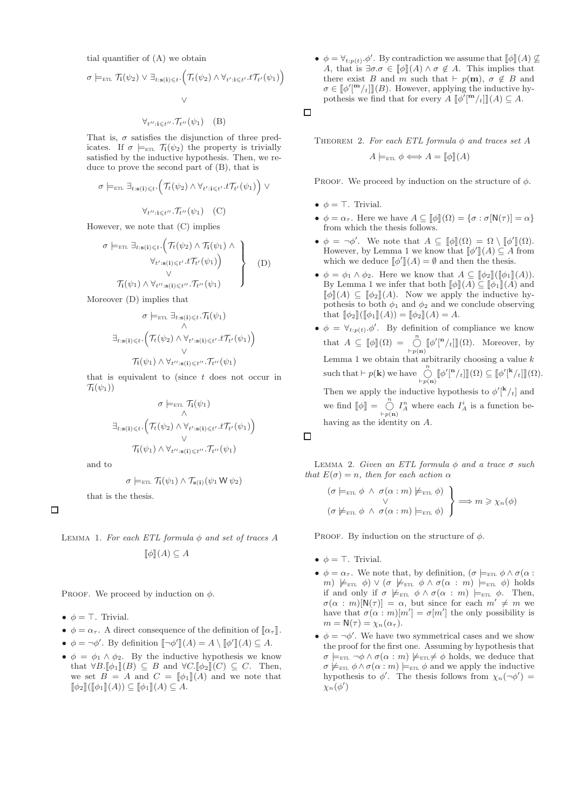tial quantifier of (A) we obtain

$$
\sigma \models_{\text{ETL}} \mathcal{T}_{\mathbf{i}}(\psi_2) \lor \exists_{t:\mathbf{s}(\mathbf{i}) \leq t} \cdot \Big( \mathcal{T}_{t}(\psi_2) \land \forall_{t':\mathbf{i} \leq t'} \cdot t \mathcal{T}_{t'}(\psi_1) \Big)
$$

$$
\forall_{t'' : \mathbf{i} \leqslant t''} . \mathcal{T}_{t''}(\psi_1) \quad \text{(B)}
$$

That is,  $\sigma$  satisfies the disjunction of three predicates. If  $\sigma \models_{\text{ETL}} \mathcal{T}_i(\psi_2)$  the property is trivially satisfied by the inductive hypothesis. Then, we reduce to prove the second part of (B), that is

$$
\sigma \models_{\text{ETL}} \exists_{t:\mathbf{s}(\mathbf{i}) \leq t} \cdot \left( \mathcal{T}_t(\psi_2) \land \forall_{t':\mathbf{i} \leq t'} \cdot t \mathcal{T}_{t'}(\psi_1) \right) \lor \forall_{t''':\mathbf{i} \leq t''} \cdot \mathcal{T}_{t''}(\psi_1) \quad (C)
$$

However, we note that (C) implies

σ |=etl ∃<sup>t</sup>:s(i)6<sup>t</sup> . Tt(ψ2) ∧ Ti(ψ1) ∧ ∀t ′ :s(i)6t ′ .tT<sup>t</sup> ′ (ψ1) ∨ Ti(ψ1) ∧ ∀<sup>t</sup> ′′:s(i)6t ′′ .T<sup>t</sup> ′′ (ψ1) (D)

Moreover (D) implies that

$$
\sigma \models_{\text{ETL}} \exists_{t:\mathbf{s}(\mathbf{i}) \leq t} \cdot \mathcal{T}_{\mathbf{i}}(\psi_1)
$$

$$
\exists_{t:\mathbf{s}(\mathbf{i}) \leq t} \cdot \left( \mathcal{T}_{t}(\psi_2) \land \forall_{t':\mathbf{s}(\mathbf{i}) \leq t'} \cdot t \mathcal{T}_{t'}(\psi_1) \right) \lor
$$

$$
\mathcal{T}_{\mathbf{i}}(\psi_1) \land \forall_{t'':\mathbf{s}(\mathbf{i}) \leq t''} \cdot \mathcal{T}_{t''}(\psi_1)
$$

that is equivalent to (since  $t$  does not occur in  $\mathcal{T}_{\mathbf{i}}(\psi_1)$ 

$$
\sigma \models_{\text{ETL}} \mathcal{T}_i(\psi_1)
$$
  

$$
\exists_{t:s(i)\leq t} \cdot (\mathcal{T}_t(\psi_2) \land \forall_{t':s(i)\leq t'} \cdot t \mathcal{T}_{t'}(\psi_1))
$$
  

$$
\lor \qquad \lor
$$
  

$$
\mathcal{T}_i(\psi_1) \land \forall_{t'':s(i)\leq t''} \cdot \mathcal{T}_{t''}(\psi_1)
$$

and to

$$
\sigma \models_\text{et} \mathcal{T}_i(\psi_1) \land \mathcal{T}_{s(i)}(\psi_1 \mathsf{W}\, \psi_2)
$$

that is the thesis.

 $\Box$ 

LEMMA 1. For each ETL formula  $\phi$  and set of traces A  $\llbracket \phi \rrbracket(A) \subseteq A$ 

PROOF. We proceed by induction on  $\phi$ .

- $\phi = \top$ . Trivial.
- $\phi = \alpha_{\tau}$ . A direct consequence of the definition of  $\llbracket \alpha_{\tau} \rrbracket$ .
- $\phi = \neg \phi'$ . By definition  $\llbracket \neg \phi' \rrbracket(A) = A \setminus \llbracket \phi' \rrbracket(A) \subseteq A$ .
- $\phi = \phi_1 \wedge \phi_2$ . By the inductive hypothesis we know that  $\forall B. [\![\phi_1]\!](B) \subseteq B$  and  $\forall C. [\![\phi_2]\!](C) \subseteq C$ . Then, we set  $B = A$  and  $C = \llbracket \phi_1 \rrbracket (A)$  and we note that  $\llbracket \phi_2 \rrbracket(\llbracket \phi_1 \rrbracket(A)) \subseteq \llbracket \phi_1 \rrbracket(A) \subseteq A.$

•  $\phi = \forall_{t:p(t)}.\phi'.$  By contradiction we assume that  $[\![\phi]\!](A) \not\subseteq$ A, that is  $\exists \sigma.\sigma \in [\![\phi]\!](A) \land \sigma \notin A$ . This implies that there exist B and m such that  $\vdash p(m), \sigma \notin B$  and  $\sigma \in [\![\phi'[\mathbf{m}_t]]\!] (B)$ . However, applying the inductive hypothesis we find that for every  $A \llbracket \phi'[\mathbf{m/ t}]\rrbracket(A) \subseteq A$ .

 $\Box$ 

THEOREM 2. For each ETL formula  $\phi$  and traces set A

$$
A \models_{\text{ETL}} \phi \Longleftrightarrow A = [\![\phi]\!](A)
$$

PROOF. We proceed by induction on the structure of  $\phi$ .

- $\phi = \top$ . Trivial.
- $\phi = \alpha_{\tau}$ . Here we have  $A \subseteq [\![\phi]\!](\Omega) = {\sigma : \sigma[N(\tau)] = \alpha}$ from which the thesis follows.
- $\phi = \neg \phi'$ . We note that  $A \subseteq [\![\phi]\!] (\Omega) = \Omega \setminus [\![\phi']\!] (\Omega)$ . However, by Lemma 1 we know that  $[\![\phi']\!](A) \subseteq A$  from which we deduce  $[\![\phi']\!](A) = \emptyset$  and then the thesis.
- $\phi = \phi_1 \wedge \phi_2$ . Here we know that  $A \subseteq [\![\phi_2]\!]([\![\phi_1]\!](A)).$ By Lemma 1 we infer that both  $\llbracket \phi \rrbracket(A) \subseteq \llbracket \phi_1 \rrbracket(A)$  and  $[\![\phi]\!](A) \subseteq [\![\phi_2]\!](A)$ . Now we apply the inductive hypothesis to both  $\phi_1$  and  $\phi_2$  and we conclude observing that  $[\![\phi_2]\!]([\![\phi_1]\!] (A)) = [\![\phi_2]\!] (A) = A.$
- $\phi = \forall_{t:p(t)} \phi'$ . By definition of compliance we know that  $A \subseteq [\![\phi]\!](\Omega) = \bigcirc_{\vdash p(\mathbf{n})}^n [\![\phi']^{\mathbf{n}}/t]\!] (\Omega)$ . Moreover, by Lemma 1 we obtain that arbitrarily choosing a value  $k$ such that  $\vdash p(\mathbf{k})$  we have  $\bigcirc_{\vdash p(\mathbf{n})}^n [\![\phi'[\mathbf{n}'_{t}]\!] \!] (\Omega) \subseteq [\![\phi'[\mathbf{k}'_{t}]\!] \!] (\Omega).$ Then we apply the inductive hypothesis to  $\phi'$ <sup>[k</sup>/<sub>t</sub>] and we find  $[\![\phi]\!] = \bigcirc_{\vdash p(\mathbf{n})}^{\mathbf{n}} I_A^n$  where each  $I_A^i$  is a function behaving as the identity on A.

 $\Box$ 

LEMMA 2. Given an ETL formula  $\phi$  and a trace  $\sigma$  such that  $E(\sigma) = n$ , then for each action  $\alpha$ 

$$
\begin{array}{c}\n(\sigma \models_{\text{ETL}} \phi \land \sigma(\alpha : m) \not\models_{\text{ETL}} \phi) \\
\downarrow \left(\sigma \not\models_{\text{ETL}} \phi \land \sigma(\alpha : m) \models_{\text{ETL}} \phi)\n\end{array}\right\} \Longrightarrow m \geq \chi_n(\phi)
$$

PROOF. By induction on the structure of  $\phi$ .

- $\phi = \top$ . Trivial.
- $\phi = \alpha_{\tau}$ . We note that, by definition,  $(\sigma \models_{\text{ETL}} \phi \land \sigma(\alpha))$ : m)  $\not\models_{\text{ETL}} \phi$ )  $\vee$  ( $\sigma \not\models_{\text{ETL}} \phi \wedge \sigma(\alpha : m) \models_{\text{ETL}} \phi$ ) holds if and only if  $\sigma \not\models_{\text{ETL}} \phi \land \sigma(\alpha : m) \models_{\text{ETL}} \phi$ . Then,  $\sigma(\alpha : m)[N(\tau)] = \alpha$ , but since for each  $m' \neq m$  we have that  $\sigma(\alpha : m)[m'] = \sigma[m']$  the only possibility is  $m = N(\tau) = \chi_n(\alpha_{\tau}).$
- $\phi = \neg \phi'$ . We have two symmetrical cases and we show the proof for the first one. Assuming by hypothesis that  $\sigma \models_{\text{ETL}} \neg \phi \land \sigma(\alpha : m) \not\models_{\text{ETL}} \neq \phi \text{ holds, we deduce that}$  $\sigma \not\models_{\text{ETL}} \phi \land \sigma(\alpha : m) \models_{\text{ETL}} \phi \text{ and we apply the inductive}$ hypothesis to  $\phi'$ . The thesis follows from  $\chi_n(\neg \phi') =$  $\chi_n(\phi')$